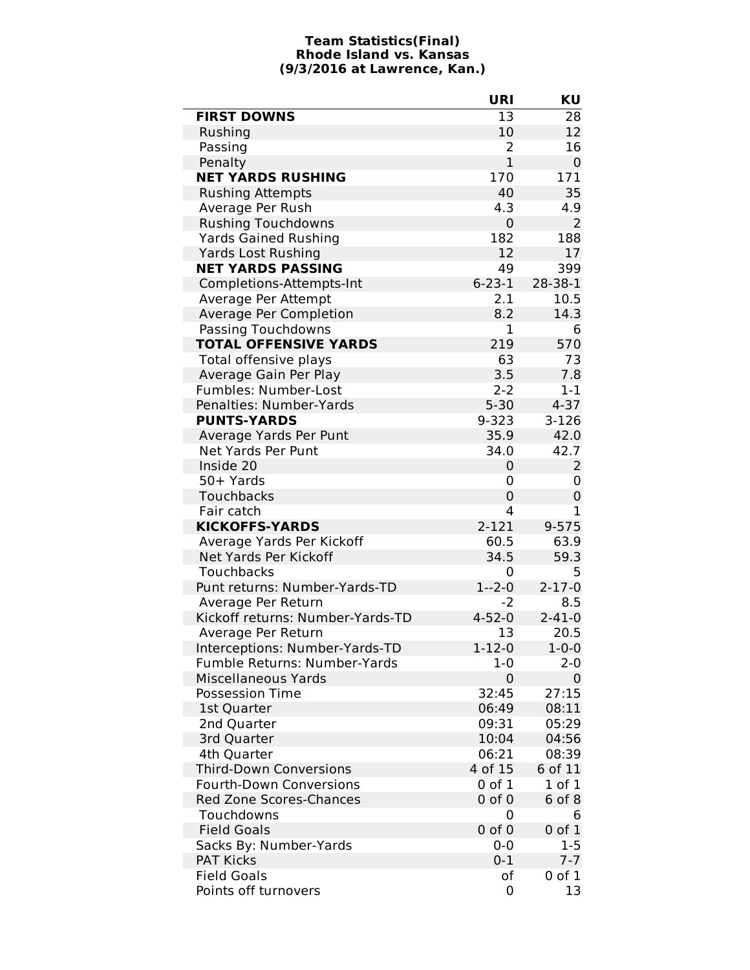## **Team Statistics(Final) Rhode Island vs. Kansas (9/3/2016 at Lawrence, Kan.)**

J.

|                                     | URI            | KU             |
|-------------------------------------|----------------|----------------|
| <b>FIRST DOWNS</b>                  | 13             | 28             |
| Rushing                             | 10             | 12             |
| Passing                             | 2              | 16             |
| Penalty                             | $\mathbf{1}$   | 0              |
| <b>NET YARDS RUSHING</b>            | 170            | 171            |
| <b>Rushing Attempts</b>             | 40             | 35             |
| Average Per Rush                    | 4.3            | 4.9            |
| <b>Rushing Touchdowns</b>           | 0              | 2              |
| <b>Yards Gained Rushing</b>         | 182            | 188            |
| <b>Yards Lost Rushing</b>           | 12             | 17             |
| <b>NET YARDS PASSING</b>            | 49             | 399            |
| Completions-Attempts-Int            | $6 - 23 - 1$   | 28-38-1        |
| Average Per Attempt                 | 2.1            | 10.5           |
| Average Per Completion              | 8.2            | 14.3           |
| Passing Touchdowns                  | 1              | 6              |
| <b>TOTAL OFFENSIVE YARDS</b>        | 219            | 570            |
| Total offensive plays               | 63             | 73             |
| Average Gain Per Play               | 3.5            | 7.8            |
| Fumbles: Number-Lost                | $2 - 2$        | $1 - 1$        |
| Penalties: Number-Yards             | $5 - 30$       | $4 - 37$       |
| <b>PUNTS-YARDS</b>                  | 9-323          | $3-126$        |
| Average Yards Per Punt              | 35.9           | 42.0           |
| Net Yards Per Punt                  | 34.0           | 42.7           |
| Inside 20                           | 0              | $\overline{2}$ |
| 50+ Yards                           | 0              | 0              |
| Touchbacks                          | $\overline{0}$ | 0              |
| Fair catch                          | 4              | $\mathbf 1$    |
| <b>KICKOFFS-YARDS</b>               | 2-121          | $9 - 575$      |
| Average Yards Per Kickoff           | 60.5           | 63.9           |
| Net Yards Per Kickoff               | 34.5           | 59.3           |
| Touchbacks                          | 0              | 5              |
| Punt returns: Number-Yards-TD       | $1 - 2 - 0$    | $2 - 17 - 0$   |
| Average Per Return                  | -2             | 8.5            |
| Kickoff returns: Number-Yards-TD    | $4 - 52 - 0$   | $2 - 41 - 0$   |
| Average Per Return                  | 13             | 20.5           |
| Interceptions: Number-Yards-TD      | $1 - 12 - 0$   | $1 - 0 - 0$    |
| <b>Fumble Returns: Number-Yards</b> | $1 - 0$        | 2-0            |
| Miscellaneous Yards                 | 0              | 0              |
| <b>Possession Time</b>              | 32:45          | 27:15          |
| 1st Quarter                         | 06:49          | 08:11          |
| 2nd Quarter                         | 09:31          | 05:29          |
| 3rd Quarter                         | 10:04          | 04:56          |
| 4th Quarter                         | 06:21          | 08:39          |
| <b>Third-Down Conversions</b>       | 4 of 15        | 6 of 11        |
| <b>Fourth-Down Conversions</b>      | 0 of 1         | 1 of 1         |
| <b>Red Zone Scores-Chances</b>      | $0$ of $0$     | 6 of 8         |
| Touchdowns                          | 0              | 6              |
| <b>Field Goals</b>                  | $0$ of $0$     | $0$ of $1$     |
| Sacks By: Number-Yards              | 0-0            | $1 - 5$        |
| <b>PAT Kicks</b>                    | $0 - 1$        | $7 - 7$        |
| <b>Field Goals</b>                  | οf             | $0$ of $1$     |
| Points off turnovers                | 0              | 13             |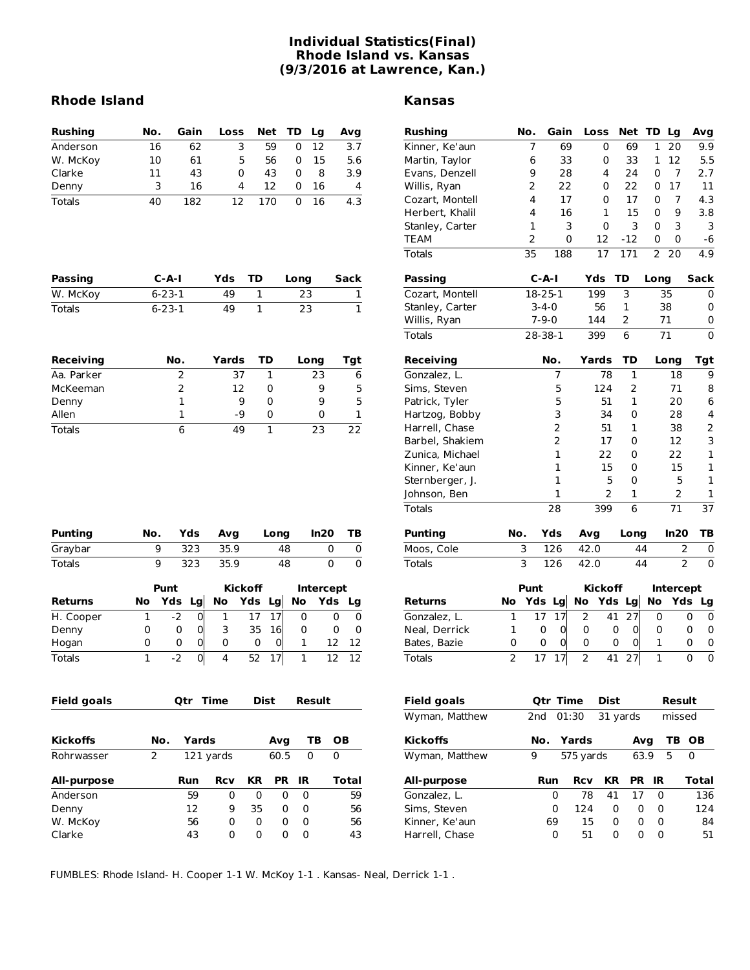## **Individual Statistics(Final) Rhode Island vs. Kansas (9/3/2016 at Lawrence, Kan.)**

## **Rhode Island Kansas**

| <b>Rushing</b> | No. | Gain | <b>Loss</b> | Net TD |   | La  | Ava |
|----------------|-----|------|-------------|--------|---|-----|-----|
| Anderson       | 16  | 62   |             | 59     |   | 12  | 3.7 |
| W. McKoy       | 10  | 61   | 5           | 56     |   | 15  | 5.6 |
| Clarke         | 11  | 43   | 0           | 43     | O | 8   | 3.9 |
| Denny          | ₹   | 16   | Δ           | 12     |   | 16. | 4   |
| <b>Totals</b>  | 40  | 182  | 12          | 170    |   | 16  | 4.3 |

| Passing  | $C-A-I$      | Yds | TD. | Lona | Sack |
|----------|--------------|-----|-----|------|------|
| W. McKoy | $6 - 23 - 1$ | 49  |     | 23   |      |
| Totals   | $6 - 23 - 1$ | 49  |     | 23   |      |

| <b>Receiving</b> | No. | Yards | TD | Long | Tqt |
|------------------|-----|-------|----|------|-----|
| Aa. Parker       |     | 37    |    | 23   | 6   |
| McKeeman         |     | 12    | O  | 9    |     |
| Denny            |     | 9     | O  | g    | 5   |
| Allen            |     | -9    |    |      |     |
| Totals           |     | 49    |    | つっ   | つつ  |

| Rushing         | No. | Gain          | Loss     | Net TD Lg |      |      | Avg  |
|-----------------|-----|---------------|----------|-----------|------|------|------|
| Kinner, Ke'aun  | 7   | 69            | 0        | 69        | 1    | 20   | 9.9  |
| Martin, Taylor  | 6   | 33            | 0        | 33        | 1    | 12   | 5.5  |
| Evans, Denzell  | 9   | 28            | 4        | 24        | 0    | 7    | 2.7  |
| Willis, Ryan    | 2   | 22            | 0        | 22        | 0    | 17   | 11   |
| Cozart, Montell | 4   | 17            | 0        | 17        | 0    | 7    | 4.3  |
| Herbert, Khalil | 4   | 16            | 1        | 15        | 0    | 9    | 3.8  |
| Stanley, Carter | 1   | 3             | $\Omega$ | 3         | 0    | 3    | 3    |
| TEAM            | 2   | 0             | 12       | $-12$     | 0    | 0    | -6   |
| Totals          | 35  | 188           | 17       | 171       |      | 2 20 | 4.9  |
| Passing         |     | $C-A-I$       |          | - TD      | Long |      | Sack |
| Cozart. Montell |     | $18 - 25 - 1$ | 199      | 3         |      | 35   | 0    |

| Cozart, Montell | 18-25-1     | 199 | 35 |  |
|-----------------|-------------|-----|----|--|
| Stanley, Carter | $3 - 4 - 0$ | 56  | 38 |  |
| Willis, Ryan    | $7-9-0$     | 144 |    |  |
| Totals          | 28-38-1     | 399 |    |  |

| Receiving       |     | No. | Yards | TD   | Long | Tgt |
|-----------------|-----|-----|-------|------|------|-----|
| Gonzalez, L.    |     | 7   | 78    | 1    | 18   | 9   |
| Sims, Steven    |     | 5   | 124   | 2    | 71   | 8   |
| Patrick, Tyler  |     | 5   | 51    | 1    | 20   | 6   |
| Hartzog, Bobby  |     | 3   | 34    | 0    | 28   | 4   |
| Harrell, Chase  |     | 2   | 51    | 1    | 38   | 2   |
| Barbel, Shakiem |     | 2   | 17    | 0    | 12   | 3   |
| Zunica, Michael |     | 1   | 22    | 0    | 22   | 1   |
| Kinner, Ke'aun  |     | 1   | 15    | 0    | 15   | 1   |
| Sternberger, J. |     | 1   | 5     | 0    | 5    | 1   |
| Johnson, Ben    |     | 1   | 2     | 1    | 2    | 1   |
| Totals          |     | 28  | 399   | 6    | 71   | 37  |
| <b>Punting</b>  | No. | Yds | Avg   | Long | In20 | ΤВ  |
| Moos, Cole      | 3   | 126 | 42.0  | 44   | 2    | 0   |
| Totals          | 3   | 126 | 42.0  | 44   | 2    | 0   |

| Punting        | No. |          | Yds | Avg  |                | Long |    | In20             | ΤВ |
|----------------|-----|----------|-----|------|----------------|------|----|------------------|----|
| Graybar        |     | 323<br>9 |     |      | 35.9           |      | 48 | 0                | 0  |
| Totals         |     | 9        | 323 | 35.9 |                | 48   |    | 0                | 0  |
|                |     | Punt     |     |      | <b>Kickoff</b> |      |    | <b>Intercept</b> |    |
| <b>Returns</b> | No  | Yds Lg   |     | No   | Yds Lg         |      | No | Yds              | Lg |
| H. Cooper      | 1   | $-2$     | 0   | 1    | 17             | 17   | 0  | O                | O  |
| Denny          | 0   | 0        | 0   | 3    | 35             | 16   | 0  | 0                | 0  |
| Hogan          | 0   | 0        | 0   | 0    | 0              | 0    | 1  | 12               | 12 |
| Totals         | 1   | $-2$     | 0   | 4    | 52             | 7    | 1  | 17               | 12 |

| <b>Field goals</b> | Otr Time<br><b>Dist</b><br><b>Field goals</b><br>Result |            |            |                | Otr Time     | <b>Dist</b> |           |                 | Result     |           |    |           |                |                |
|--------------------|---------------------------------------------------------|------------|------------|----------------|--------------|-------------|-----------|-----------------|------------|-----------|----|-----------|----------------|----------------|
|                    |                                                         |            |            | Wyman, Matthew |              | 2nd         | 01:30     | 31 yards        |            | missed    |    |           |                |                |
| <b>Kickoffs</b>    | No.                                                     | Yards      |            |                | Avg          | TВ          | <b>OB</b> | <b>Kickoffs</b> | No.        | Yards     |    | Avg       |                | TB OI          |
| Rohrwasser         |                                                         |            | 121 yards  |                | 60.5         | 0           | $\Omega$  | Wyman, Matthew  | 9          | 575 yards |    | 63.9      | 5              | $\overline{0}$ |
| All-purpose        |                                                         | <b>Run</b> | <b>Rcv</b> | <b>KR</b>      | <b>PR</b>    | 1R          | Total     | All-purpose     | <b>Run</b> | Rcv       | KR | <b>PR</b> | -IR            | To             |
| Anderson           |                                                         | 59         | 0          | $\Omega$       | <sup>0</sup> | 0           | 59        | Gonzalez, L.    |            | 78<br>0   | 41 | 17        | $\overline{0}$ |                |
| Denny              |                                                         | 12         | 9          | 35             | 0            | 0           | 56        | Sims, Steven    |            | 124<br>0  | 0  | 0         | $\Omega$       |                |
| W. McKoy           |                                                         | 56         | 0          | $\Omega$       | $\Omega$     | $\Omega$    | 56        | Kinner, Ke'aun  |            | 69<br>15  | 0  | 0         | 0              |                |
| Clarke             |                                                         | 43         | 0          | 0              | 0            | 0           | 43        | Harrell, Chase  |            | 0<br>51   | 0  | 0         | 0              |                |

|                |   | <b>Punt</b> |    |             | Kickoff |       | Intercept |                               |  |  |
|----------------|---|-------------|----|-------------|---------|-------|-----------|-------------------------------|--|--|
| <b>Returns</b> |   |             |    |             |         |       |           | No Yds Lg No Yds Lg No Yds Lg |  |  |
| Gonzalez, L.   |   |             |    | 2           |         | 41 27 |           |                               |  |  |
| Neal, Derrick  |   |             |    | 0           | 0       |       |           |                               |  |  |
| Bates, Bazie   | 0 | $_{0}$      | UI | 0           |         |       |           |                               |  |  |
| Totals         |   |             |    | $2^{\circ}$ |         | 41 27 |           |                               |  |  |

| <b>Field goals</b> |                 | <b>Qtr Time</b> | Dist      |           |      | Result |
|--------------------|-----------------|-----------------|-----------|-----------|------|--------|
| Wyman, Matthew     | 2 <sub>nd</sub> | 01:30           | 31 yards  |           |      | missed |
| <b>Kickoffs</b>    | No.             | Yards           |           | Avg       |      | TB OB  |
| Wyman, Matthew     | 9               | 575 yards       |           | 63.9      | 5    | 0      |
| All-purpose        | Run             | <b>Rcv</b>      | <b>KR</b> | <b>PR</b> | - IR | Total  |
| Gonzalez, L.       |                 | 0<br>78         | 41        | 17        | 0    | 136    |
| Sims, Steven       |                 | 0<br>124        | 0         | $\Omega$  | 0    | 124    |
| Kinner, Ke'aun     | 69              | 15              | 0         | 0         | 0    | 84     |
| Harrell, Chase     |                 | 0<br>51         | 0         | 0         | O    | 51     |

FUMBLES: Rhode Island- H. Cooper 1-1 W. McKoy 1-1 . Kansas- Neal, Derrick 1-1 .